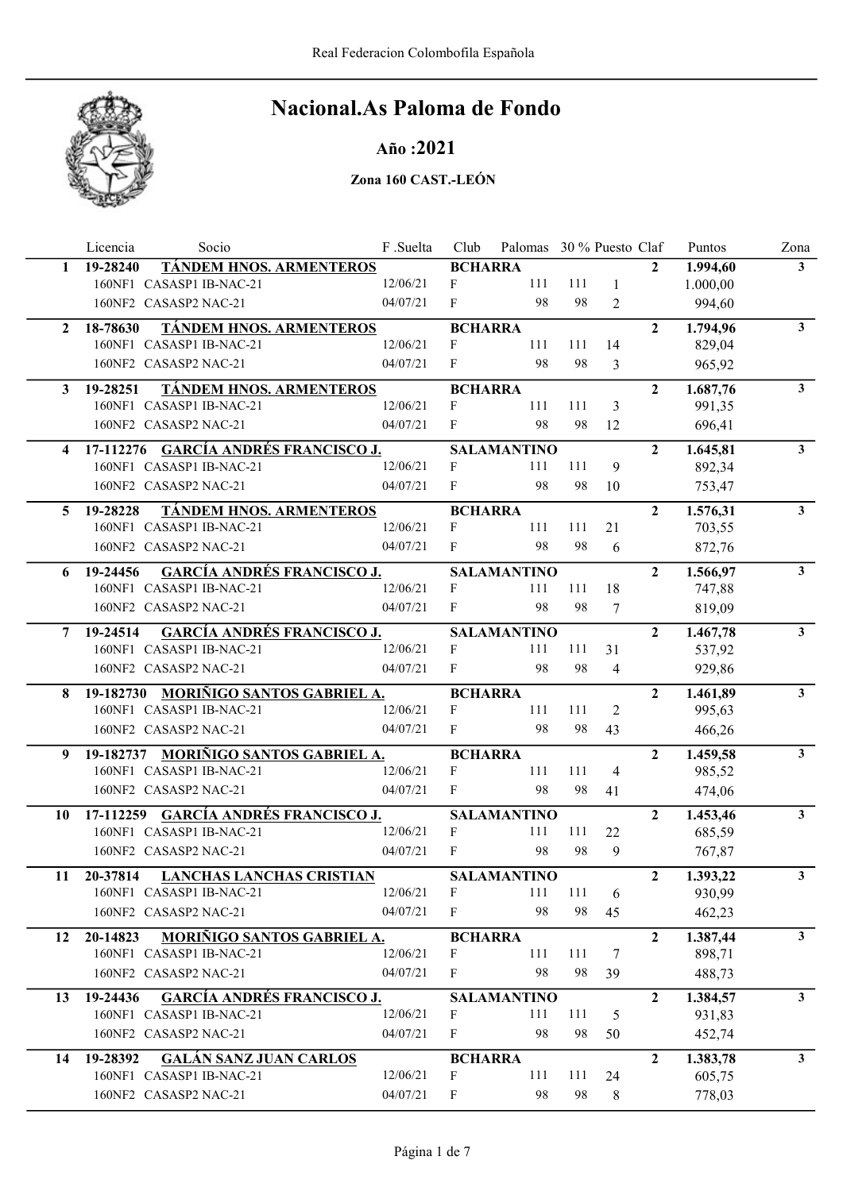

## Año :2021

|              | Licencia<br>Socio                             | F.Suelta | Club           | Palomas 30 % Puesto Claf |     |                          |                | Puntos   | Zona           |
|--------------|-----------------------------------------------|----------|----------------|--------------------------|-----|--------------------------|----------------|----------|----------------|
| 1.           | <b>TÁNDEM HNOS. ARMENTEROS</b><br>19-28240    |          | <b>BCHARRA</b> |                          |     |                          | $\mathbf{2}$   | 1.994,60 | 3 <sup>1</sup> |
|              | 160NF1 CASASP1 IB-NAC-21                      | 12/06/21 | F              | 111                      | 111 | 1                        |                | 1.000,00 |                |
|              | 160NF2 CASASP2 NAC-21                         | 04/07/21 | F              | 98                       | 98  | $\overline{2}$           |                | 994,60   |                |
| $\mathbf{2}$ | <b>TÁNDEM HNOS. ARMENTEROS</b><br>18-78630    |          | <b>BCHARRA</b> |                          |     |                          | $\overline{2}$ | 1.794,96 | 3 <sup>1</sup> |
|              | 160NF1 CASASP1 IB-NAC-21                      | 12/06/21 | F              | 111                      | 111 | 14                       |                | 829,04   |                |
|              | 160NF2 CASASP2 NAC-21                         | 04/07/21 | F              | 98                       | 98  | 3                        |                | 965,92   |                |
| 3            | TÁNDEM HNOS. ARMENTEROS<br>19-28251           |          | <b>BCHARRA</b> |                          |     |                          | $\overline{2}$ | 1.687,76 | $\mathbf{3}$   |
|              | 160NF1 CASASP1 IB-NAC-21                      | 12/06/21 | F              | 111                      | 111 | 3                        |                | 991,35   |                |
|              | 160NF2 CASASP2 NAC-21                         | 04/07/21 | $\mathbf{F}$   | 98                       | 98  | 12                       |                | 696,41   |                |
|              | 17-112276 GARCÍA ANDRÉS FRANCISCO J.          |          |                | <b>SALAMANTINO</b>       |     |                          | $\overline{2}$ | 1.645,81 | $3^{\circ}$    |
|              | 160NF1 CASASP1 IB-NAC-21                      | 12/06/21 | F              | 111                      | 111 | 9                        |                | 892,34   |                |
|              | 160NF2 CASASP2 NAC-21                         | 04/07/21 | F              | 98                       | 98  | 10                       |                | 753,47   |                |
| 5.           | <b>TÁNDEM HNOS. ARMENTEROS</b><br>19-28228    |          | <b>BCHARRA</b> |                          |     |                          | $\mathbf{2}$   | 1.576,31 | $\mathbf{3}$   |
|              | 160NF1 CASASP1 IB-NAC-21                      | 12/06/21 | F              | 111                      | 111 | 21                       |                | 703,55   |                |
|              | 160NF2 CASASP2 NAC-21                         | 04/07/21 | F              | 98                       | 98  | 6                        |                | 872,76   |                |
| 6            | <b>GARCÍA ANDRÉS FRANCISCO J.</b><br>19-24456 |          |                | <b>SALAMANTINO</b>       |     |                          | $\overline{2}$ | 1.566,97 | $3^{\circ}$    |
|              | 160NF1 CASASP1 IB-NAC-21                      | 12/06/21 | F              | 111                      | 111 | 18                       |                | 747,88   |                |
|              | 160NF2 CASASP2 NAC-21                         | 04/07/21 | F              | 98                       | 98  | 7                        |                | 819,09   |                |
| 7            | 19-24514 GARCÍA ANDRÉS FRANCISCO J.           |          |                | <b>SALAMANTINO</b>       |     |                          | $\overline{2}$ | 1.467,78 | $\mathbf{3}$   |
|              | 160NF1 CASASP1 IB-NAC-21                      | 12/06/21 | F              | 111                      | 111 | 31                       |                | 537,92   |                |
|              | 160NF2 CASASP2 NAC-21                         | 04/07/21 | F              | 98                       | 98  | $\overline{\mathcal{A}}$ |                | 929,86   |                |
| 8.           | 19-182730 MORIÑIGO SANTOS GABRIEL A.          |          | <b>BCHARRA</b> |                          |     |                          | $\overline{2}$ | 1.461,89 | 3 <sup>1</sup> |
|              | 160NF1 CASASP1 IB-NAC-21                      | 12/06/21 | F              | 111                      | 111 | 2                        |                | 995,63   |                |
|              | 160NF2 CASASP2 NAC-21                         | 04/07/21 | $\mathbf{F}$   | 98                       | 98  | 43                       |                | 466,26   |                |
| 9            | 19-182737 MORIÑIGO SANTOS GABRIEL A.          |          | <b>BCHARRA</b> |                          |     |                          | $\overline{2}$ | 1.459,58 | $3^{\circ}$    |
|              | 160NF1 CASASP1 IB-NAC-21                      | 12/06/21 | F              | 111                      | 111 | $\overline{4}$           |                | 985,52   |                |
|              | 160NF2 CASASP2 NAC-21                         | 04/07/21 | F              | 98                       | 98  | 41                       |                | 474,06   |                |
| 10           | 17-112259 GARCÍA ANDRÉS FRANCISCO J.          |          |                | <b>SALAMANTINO</b>       |     |                          | $\overline{2}$ | 1.453,46 | $3^{\circ}$    |
|              | 160NF1 CASASP1 IB-NAC-21                      | 12/06/21 | F              | 111                      | 111 | 22                       |                | 685,59   |                |
|              | 160NF2 CASASP2 NAC-21                         | 04/07/21 | $\mathbf{F}$   | 98                       | 98  | 9                        |                | 767,87   |                |
| 11           | <b>LANCHAS LANCHAS CRISTIAN</b><br>20-37814   |          |                | <b>SALAMANTINO</b>       |     |                          | $\overline{2}$ | 1.393,22 | 3 <sup>1</sup> |
|              | 160NF1 CASASP1 IB-NAC-21                      | 12/06/21 | F              | 111                      | 111 | 6                        |                | 930,99   |                |
|              | 160NF2 CASASP2 NAC-21                         | 04/07/21 | F              | 98                       | 98  | 45                       |                | 462,23   |                |
| 12           | MORIÑIGO SANTOS GABRIEL A.<br>20-14823        |          | <b>BCHARRA</b> |                          |     |                          | $\mathbf{2}$   | 1.387,44 | 3 <sup>1</sup> |
|              | 160NF1 CASASP1 IB-NAC-21                      | 12/06/21 | F              | 111                      | 111 | 7                        |                | 898,71   |                |
|              | 160NF2 CASASP2 NAC-21                         | 04/07/21 | F              | 98                       | 98  | 39                       |                | 488,73   |                |
| 13           | 19-24436 GARCÍA ANDRÉS FRANCISCO J.           |          |                | <b>SALAMANTINO</b>       |     |                          | $\mathbf{2}$   | 1.384,57 | 3 <sup>1</sup> |
|              | 160NF1 CASASP1 IB-NAC-21                      | 12/06/21 | F              | 111                      | 111 | 5                        |                | 931,83   |                |
|              | 160NF2 CASASP2 NAC-21                         | 04/07/21 | F              | 98                       | 98  | 50                       |                | 452,74   |                |
| 14           | <b>GALÁN SANZ JUAN CARLOS</b><br>19-28392     |          | <b>BCHARRA</b> |                          |     |                          | $\overline{2}$ | 1.383,78 | $\mathbf{3}$   |
|              | 160NF1 CASASP1 IB-NAC-21                      | 12/06/21 | $\mathbf{F}$   | 111                      | 111 | 24                       |                | 605,75   |                |
|              | 160NF2 CASASP2 NAC-21                         | 04/07/21 | F              | 98                       | 98  | 8                        |                | 778,03   |                |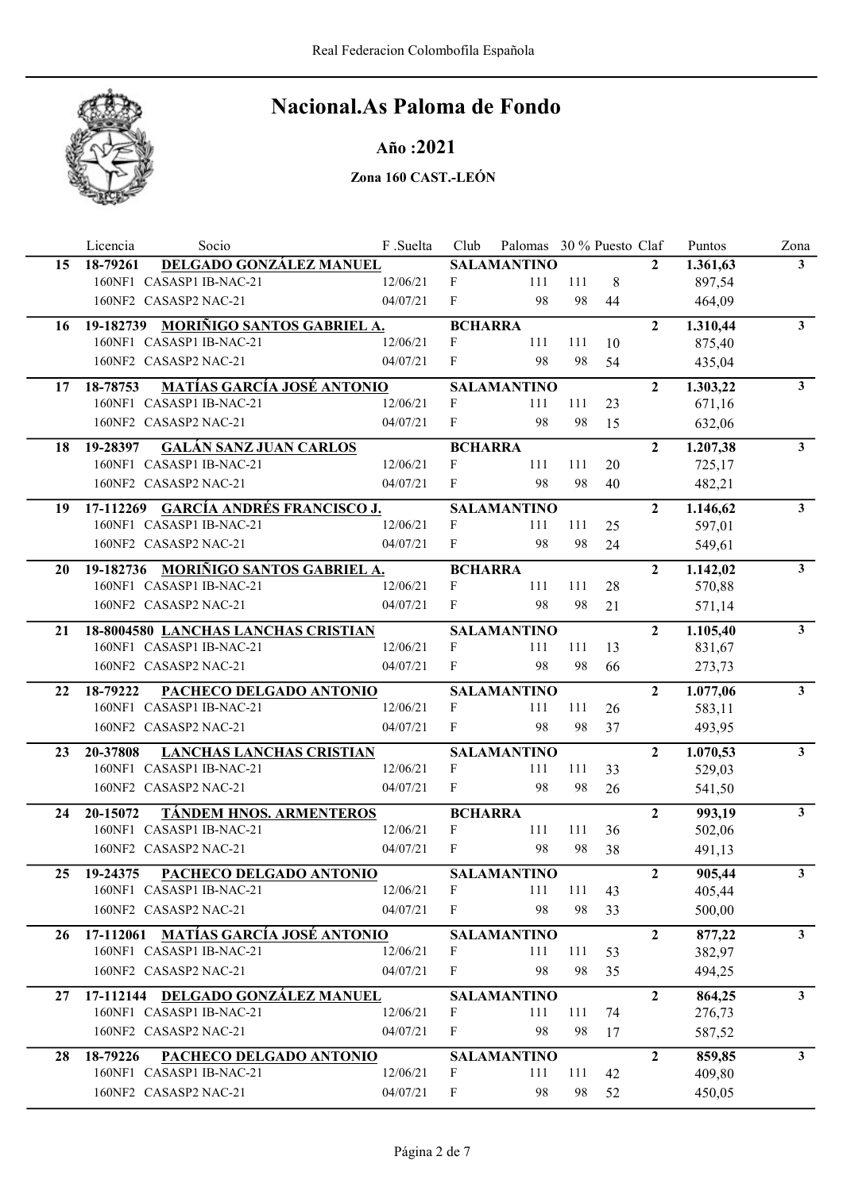

## Año :2021

|    | Socio<br>Licencia                             | F.Suelta | Club             | Palomas 30 % Puesto Claf |     |    |                | Puntos    | Zona           |
|----|-----------------------------------------------|----------|------------------|--------------------------|-----|----|----------------|-----------|----------------|
| 15 | DELGADO GONZÁLEZ MANUEL<br>18-79261           |          |                  | <b>SALAMANTINO</b>       |     |    | $\mathbf{2}$   | 1.361,63  | 3 <sup>1</sup> |
|    | 160NF1 CASASP1 IB-NAC-21                      | 12/06/21 | F                | 111                      | 111 | 8  |                | 897,54    |                |
|    | 160NF2 CASASP2 NAC-21                         | 04/07/21 | F                | 98                       | 98  | 44 |                | 464,09    |                |
| 16 | 19-182739 MORIÑIGO SANTOS GABRIEL A.          |          | <b>BCHARRA</b>   |                          |     |    | $\overline{2}$ | 1.310,44  | $\mathbf{3}$   |
|    | 160NF1 CASASP1 IB-NAC-21                      | 12/06/21 | F                | 111                      | 111 | 10 |                | 875,40    |                |
|    | 160NF2 CASASP2 NAC-21                         | 04/07/21 | F                | 98                       | 98  | 54 |                | 435,04    |                |
| 17 | <b>MATÍAS GARCÍA JOSÉ ANTONIO</b><br>18-78753 |          |                  | <b>SALAMANTINO</b>       |     |    | $\overline{2}$ | 1.303,22  | $\mathbf{3}$   |
|    | 160NF1 CASASP1 IB-NAC-21                      | 12/06/21 | F                | 111                      | 111 | 23 |                | 671,16    |                |
|    | 160NF2 CASASP2 NAC-21                         | 04/07/21 | F                | 98                       | 98  | 15 |                | 632,06    |                |
| 18 | <b>GALÁN SANZ JUAN CARLOS</b><br>19-28397     |          | <b>BCHARRA</b>   |                          |     |    | $\overline{2}$ | 1.207, 38 | 3 <sup>1</sup> |
|    | 160NF1 CASASP1 IB-NAC-21                      | 12/06/21 | $\mathbf{F}$     | 111                      | 111 | 20 |                | 725,17    |                |
|    | 160NF2 CASASP2 NAC-21                         | 04/07/21 | F                | 98                       | 98  | 40 |                | 482,21    |                |
| 19 | 17-112269 GARCÍA ANDRÉS FRANCISCO J.          |          |                  | <b>SALAMANTINO</b>       |     |    | $\overline{2}$ | 1.146,62  | $\mathbf{3}$   |
|    | 160NF1 CASASP1 IB-NAC-21                      | 12/06/21 | F                | 111                      | 111 | 25 |                | 597,01    |                |
|    | 160NF2 CASASP2 NAC-21                         | 04/07/21 | F                | 98                       | 98  | 24 |                | 549,61    |                |
| 20 | 19-182736 MORIÑIGO SANTOS GABRIEL A.          |          | <b>BCHARRA</b>   |                          |     |    | $\overline{2}$ | 1.142,02  | 3 <sup>7</sup> |
|    | 160NF1 CASASP1 IB-NAC-21                      | 12/06/21 | F                | 111                      | 111 | 28 |                | 570,88    |                |
|    | 160NF2 CASASP2 NAC-21                         | 04/07/21 | F                | 98                       | 98  | 21 |                | 571,14    |                |
| 21 | 18-8004580 LANCHAS LANCHAS CRISTIAN           |          |                  | <b>SALAMANTINO</b>       |     |    | $\overline{2}$ | 1.105,40  | $\mathbf{3}$   |
|    | 160NF1 CASASP1 IB-NAC-21                      | 12/06/21 | F                | 111                      | 111 | 13 |                | 831,67    |                |
|    | 160NF2 CASASP2 NAC-21                         | 04/07/21 | F                | 98                       | 98  | 66 |                | 273,73    |                |
| 22 | 18-79222<br>PACHECO DELGADO ANTONIO           |          |                  | <b>SALAMANTINO</b>       |     |    | $\overline{2}$ | 1.077,06  | $\mathbf{3}$   |
|    | 160NF1 CASASP1 IB-NAC-21                      | 12/06/21 | F                | 111                      | 111 | 26 |                | 583,11    |                |
|    | 160NF2 CASASP2 NAC-21                         | 04/07/21 | F                | 98                       | 98  | 37 |                | 493,95    |                |
| 23 | 20-37808<br><b>LANCHAS LANCHAS CRISTIAN</b>   |          |                  | <b>SALAMANTINO</b>       |     |    | $\overline{2}$ | 1.070,53  | 3 <sup>1</sup> |
|    | 160NF1 CASASP1 IB-NAC-21                      | 12/06/21 | F                | 111                      | 111 | 33 |                | 529,03    |                |
|    | 160NF2 CASASP2 NAC-21                         | 04/07/21 | F                | 98                       | 98  | 26 |                | 541,50    |                |
| 24 | <b>TÁNDEM HNOS. ARMENTEROS</b><br>20-15072    |          | <b>BCHARRA</b>   |                          |     |    | $\overline{2}$ | 993,19    | $\mathbf{3}$   |
|    | 160NF1 CASASP1 IB-NAC-21                      | 12/06/21 | $\mathbf{F}$     | 111                      | 111 | 36 |                | 502,06    |                |
|    | 160NF2 CASASP2 NAC-21                         | 04/07/21 | $\mathbf{F}$     | 98                       | 98  | 38 |                | 491,13    |                |
|    | 25 19-24375<br>PACHECO DELGADO ANTONIO        |          |                  | <b>SALAMANTINO</b>       |     |    | $\overline{2}$ | 905,44    | 3              |
|    | 160NF1 CASASP1 IB-NAC-21                      | 12/06/21 | F                | 111                      | 111 | 43 |                | 405,44    |                |
|    | 160NF2 CASASP2 NAC-21                         | 04/07/21 | F                | 98                       | 98  | 33 |                | 500,00    |                |
| 26 | 17-112061 MATÍAS GARCÍA JOSÉ ANTONIO          |          |                  | <b>SALAMANTINO</b>       |     |    | $\overline{2}$ | 877,22    | 3 <sup>1</sup> |
|    | 160NF1 CASASP1 IB-NAC-21                      | 12/06/21 | F                | 111                      | 111 | 53 |                | 382,97    |                |
|    | 160NF2 CASASP2 NAC-21                         | 04/07/21 | F                | 98                       | 98  | 35 |                | 494,25    |                |
| 27 | 17-112144 DELGADO GONZÁLEZ MANUEL             |          |                  | <b>SALAMANTINO</b>       |     |    | $\overline{2}$ | 864,25    | 3 <sup>7</sup> |
|    | 160NF1 CASASP1 IB-NAC-21                      | 12/06/21 | F                | 111                      | 111 | 74 |                | 276,73    |                |
|    | 160NF2 CASASP2 NAC-21                         | 04/07/21 | F                | 98                       | 98  | 17 |                | 587,52    |                |
| 28 | 18-79226<br>PACHECO DELGADO ANTONIO           |          |                  | <b>SALAMANTINO</b>       |     |    | $\mathbf{2}$   | 859,85    | $\mathbf{3}$   |
|    | 160NF1 CASASP1 IB-NAC-21                      | 12/06/21 | F                | 111                      | 111 | 42 |                | 409,80    |                |
|    | 160NF2 CASASP2 NAC-21                         | 04/07/21 | $\boldsymbol{F}$ | 98                       | 98  | 52 |                | 450,05    |                |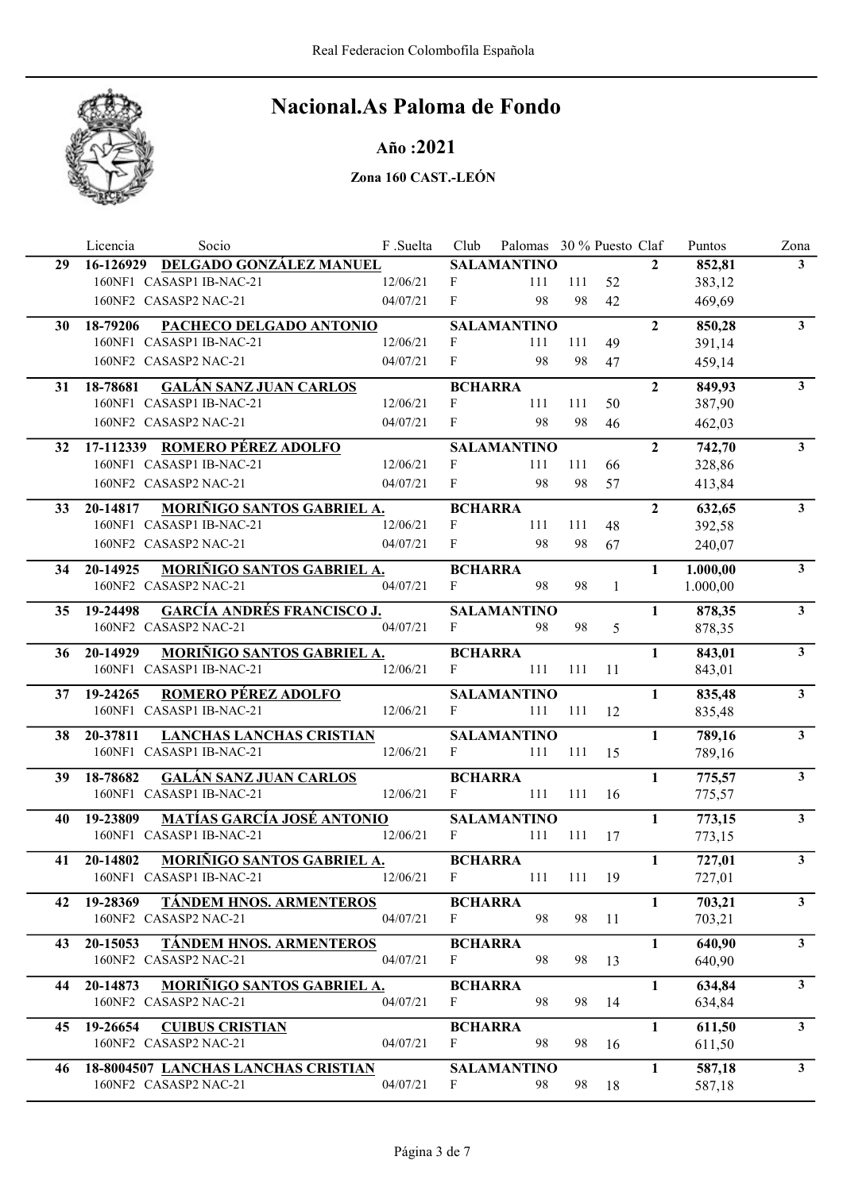

## Año :2021

|    | Licencia<br>Socio                                | F .Suelta | Club           | Palomas 30 % Puesto Claf |        |              |                | Puntos   | Zona           |
|----|--------------------------------------------------|-----------|----------------|--------------------------|--------|--------------|----------------|----------|----------------|
| 29 | 16-126929 DELGADO GONZÁLEZ MANUEL                |           |                | <b>SALAMANTINO</b>       |        |              | $\mathbf{2}$   | 852,81   | 3 <sup>1</sup> |
|    | 160NF1 CASASP1 IB-NAC-21                         | 12/06/21  | F              | 111                      | 111    | 52           |                | 383,12   |                |
|    | 160NF2 CASASP2 NAC-21                            | 04/07/21  | F              | 98                       | 98     | 42           |                | 469,69   |                |
| 30 | PACHECO DELGADO ANTONIO<br>18-79206              |           |                | <b>SALAMANTINO</b>       |        |              | $\overline{2}$ | 850,28   | $\mathbf{3}$   |
|    | 160NF1 CASASP1 IB-NAC-21                         | 12/06/21  | F              | 111                      | 111    | 49           |                | 391,14   |                |
|    | 160NF2 CASASP2 NAC-21                            | 04/07/21  | F              | 98                       | 98     | 47           |                | 459,14   |                |
| 31 | <b>GALÁN SANZ JUAN CARLOS</b><br>18-78681        |           | <b>BCHARRA</b> |                          |        |              | $\overline{2}$ | 849,93   | 3 <sup>1</sup> |
|    | 160NF1 CASASP1 IB-NAC-21                         | 12/06/21  | $\mathbf F$    | 111                      | 111    | 50           |                | 387,90   |                |
|    | 160NF2 CASASP2 NAC-21                            | 04/07/21  | F              | 98                       | 98     | 46           |                | 462,03   |                |
| 32 | 17-112339 ROMERO PÉREZ ADOLFO                    |           |                | <b>SALAMANTINO</b>       |        |              | $\overline{2}$ | 742,70   | $\mathbf{3}$   |
|    | 160NF1 CASASP1 IB-NAC-21                         | 12/06/21  | F              | 111                      | 111    | 66           |                | 328,86   |                |
|    | 160NF2 CASASP2 NAC-21                            | 04/07/21  | F              | 98                       | 98     | 57           |                | 413,84   |                |
| 33 | MORIÑIGO SANTOS GABRIEL A.<br>20-14817           |           | <b>BCHARRA</b> |                          |        |              | $\overline{2}$ | 632,65   | $\mathbf{3}$   |
|    | 160NF1 CASASP1 IB-NAC-21                         | 12/06/21  | F              | 111                      | 111    | 48           |                | 392,58   |                |
|    | 160NF2 CASASP2 NAC-21                            | 04/07/21  | F              | 98                       | 98     | 67           |                | 240,07   |                |
| 34 | MORIÑIGO SANTOS GABRIEL A.<br>20-14925           |           | <b>BCHARRA</b> |                          |        |              | $\mathbf{1}$   | 1.000,00 | 3 <sup>7</sup> |
|    | 160NF2 CASASP2 NAC-21                            | 04/07/21  | F              | 98                       | 98     | $\mathbf{1}$ |                | 1.000,00 |                |
|    | <b>GARCÍA ANDRÉS FRANCISCO J.</b><br>35 19-24498 |           |                | <b>SALAMANTINO</b>       |        |              | 1              | 878,35   | $\mathbf{3}$   |
|    | 160NF2 CASASP2 NAC-21                            | 04/07/21  | F              | 98                       | 98     | 5            |                | 878,35   |                |
| 36 | MORIÑIGO SANTOS GABRIEL A.<br>20-14929           |           | <b>BCHARRA</b> |                          |        |              | $\mathbf{1}$   | 843,01   | 3 <sup>1</sup> |
|    | 160NF1 CASASP1 IB-NAC-21                         | 12/06/21  | F              | 111                      | 111    | 11           |                | 843,01   |                |
| 37 | <b>ROMERO PÉREZ ADOLFO</b><br>19-24265           |           |                | <b>SALAMANTINO</b>       |        |              | $\mathbf{1}$   | 835,48   | $\mathbf{3}$   |
|    | 160NF1 CASASP1 IB-NAC-21                         | 12/06/21  | F              | 111                      | 111    | 12           |                | 835,48   |                |
| 38 | 20-37811<br><b>LANCHAS LANCHAS CRISTIAN</b>      |           |                | <b>SALAMANTINO</b>       |        |              | $\mathbf{1}$   | 789,16   | $\mathbf{3}$   |
|    | 160NF1 CASASP1 IB-NAC-21                         | 12/06/21  | F              | 111                      | 111    | 15           |                | 789,16   |                |
| 39 | <b>GALÁN SANZ JUAN CARLOS</b><br>18-78682        |           | <b>BCHARRA</b> |                          |        |              | $\mathbf{1}$   | 775,57   | 3 <sup>1</sup> |
|    | 160NF1 CASASP1 IB-NAC-21                         | 12/06/21  | $\mathbf{F}$   | 111                      | 111    | 16           |                | 775,57   |                |
| 40 | <b>MATÍAS GARCÍA JOSÉ ANTONIO</b><br>19-23809    |           |                | <b>SALAMANTINO</b>       |        |              | $\mathbf{1}$   | 773,15   | $\mathbf{3}$   |
|    | 160NF1 CASASP1 IB-NAC-21                         | 12/06/21  | F              | 111                      | 111    | 17           |                | 773,15   |                |
| 41 | <b>MORIÑIGO SANTOS GABRIEL A.</b><br>20-14802    |           | <b>BCHARRA</b> |                          |        |              | $\mathbf{1}$   | 727,01   | $\mathbf{3}$   |
|    | 160NF1 CASASP1 IB-NAC-21                         | 12/06/21  | F              | 111                      | 111 19 |              |                | 727,01   |                |
| 42 | TÁNDEM HNOS. ARMENTEROS<br>19-28369              |           | <b>BCHARRA</b> |                          |        |              | 1              | 703,21   | 3 <sup>7</sup> |
|    | 160NF2 CASASP2 NAC-21                            | 04/07/21  | F              | 98                       | 98     | 11           |                | 703,21   |                |
| 43 | TÁNDEM HNOS. ARMENTEROS<br>20-15053              |           | <b>BCHARRA</b> |                          |        |              | $\mathbf{1}$   | 640,90   | 3 <sup>7</sup> |
|    | 160NF2 CASASP2 NAC-21                            | 04/07/21  | F              | 98                       | 98     | 13           |                | 640,90   |                |
| 44 | MORIÑIGO SANTOS GABRIEL A.<br>20-14873           |           | <b>BCHARRA</b> |                          |        |              | 1              | 634,84   | 3 <sup>7</sup> |
|    | 160NF2 CASASP2 NAC-21                            | 04/07/21  | F              | 98                       | 98     | 14           |                | 634,84   |                |
| 45 | 19-26654<br><b>CUIBUS CRISTIAN</b>               |           | <b>BCHARRA</b> |                          |        |              | $\mathbf{1}$   | 611,50   | $\mathbf{3}$   |
|    | 160NF2 CASASP2 NAC-21                            | 04/07/21  | F              | 98                       | 98     | 16           |                | 611,50   |                |
| 46 | 18-8004507 LANCHAS LANCHAS CRISTIAN              |           |                | <b>SALAMANTINO</b>       |        |              | 1              | 587,18   | 3 <sup>7</sup> |
|    | 160NF2 CASASP2 NAC-21                            | 04/07/21  | F              | 98                       | 98     | 18           |                | 587,18   |                |
|    |                                                  |           |                |                          |        |              |                |          |                |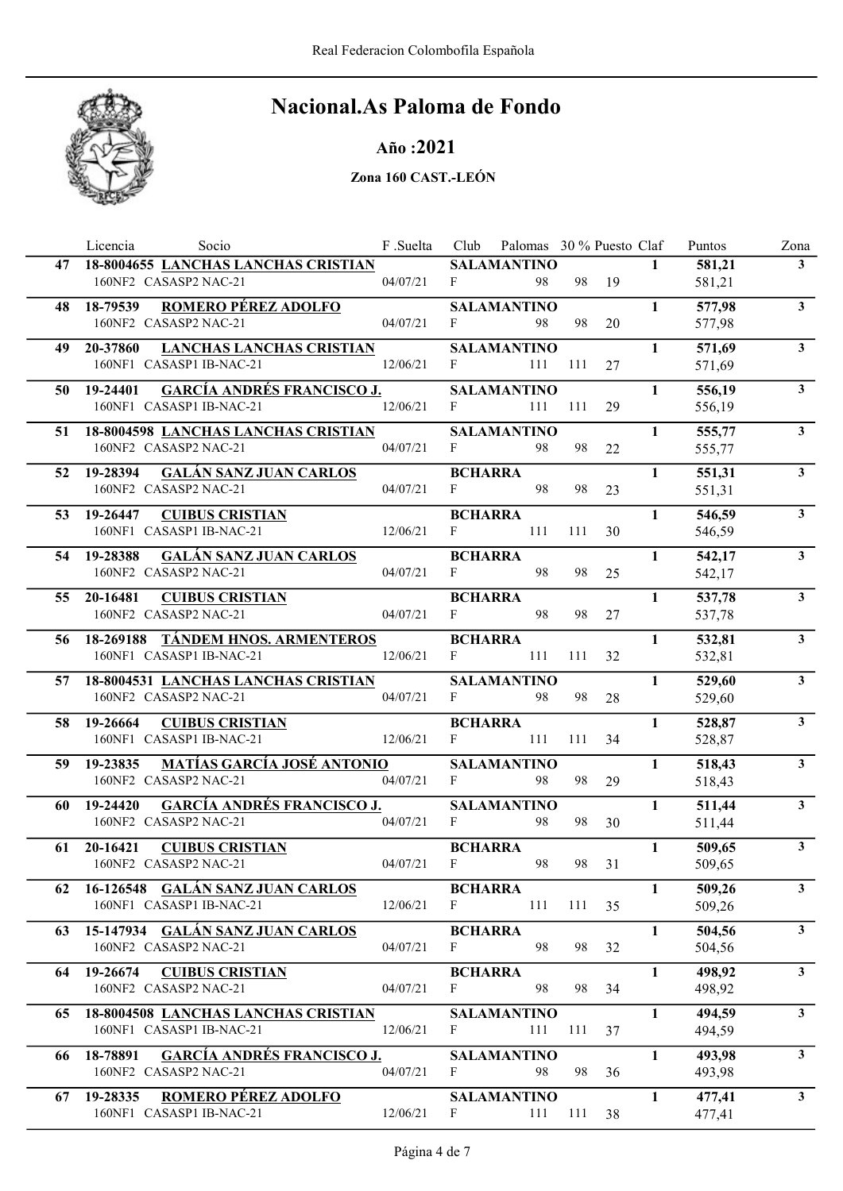

## Año :2021

|     | Socio<br>Licencia                                                            | F .Suelta | Club                           | Palomas 30 % Puesto Claf  |     |        |              | Puntos           | Zona           |
|-----|------------------------------------------------------------------------------|-----------|--------------------------------|---------------------------|-----|--------|--------------|------------------|----------------|
|     | 47 18-8004655 LANCHAS LANCHAS CRISTIAN<br>160NF2 CASASP2 NAC-21              | 04/07/21  | F                              | <b>SALAMANTINO</b><br>98  |     | 98 19  | $\mathbf{1}$ | 581,21<br>581,21 | 3 <sup>1</sup> |
|     | <b>ROMERO PÉREZ ADOLFO</b><br>48 18-79539<br>160NF2 CASASP2 NAC-21           | 04/07/21  | $\mathbf{F}$                   | <b>SALAMANTINO</b><br>98  | 98  | 20     | $\mathbf{1}$ | 577,98<br>577,98 | 3 <sup>1</sup> |
| 49. | 20-37860<br><b>LANCHAS LANCHAS CRISTIAN</b><br>160NF1 CASASP1 IB-NAC-21      | 12/06/21  | F                              | <b>SALAMANTINO</b><br>111 | 111 | 27     | $\mathbf{1}$ | 571,69<br>571,69 | 3 <sup>1</sup> |
|     | <b>GARCÍA ANDRÉS FRANCISCO J.</b><br>50 19-24401<br>160NF1 CASASP1 IB-NAC-21 | 12/06/21  | $\mathbf{F}$                   | <b>SALAMANTINO</b><br>111 | 111 | 29     | $\mathbf{1}$ | 556,19<br>556,19 | 3 <sup>1</sup> |
|     | 51 18-8004598 LANCHAS LANCHAS CRISTIAN<br>160NF2 CASASP2 NAC-21              | 04/07/21  | F                              | <b>SALAMANTINO</b><br>98  | 98  | 22     | $\mathbf{1}$ | 555,77<br>555,77 | $3^{\circ}$    |
| 52  | 19-28394 GALÁN SANZ JUAN CARLOS<br>160NF2 CASASP2 NAC-21                     | 04/07/21  | <b>BCHARRA</b><br>$F \sim$     | 98                        | 98  | 23     | $\mathbf{1}$ | 551,31<br>551,31 | 3 <sup>1</sup> |
| 53  | <b>CUIBUS CRISTIAN</b><br>19-26447<br>160NF1 CASASP1 IB-NAC-21               | 12/06/21  | <b>BCHARRA</b><br>F            | 111                       | 111 | 30     | $\mathbf{1}$ | 546,59<br>546,59 | $\mathbf{3}$   |
|     | 54 19-28388 GALÁN SANZ JUAN CARLOS<br>160NF2 CASASP2 NAC-21                  | 04/07/21  | <b>BCHARRA</b><br>F            | 98                        | 98  | 25     | $\mathbf{1}$ | 542,17<br>542,17 | 3 <sup>1</sup> |
|     | <b>CUIBUS CRISTIAN</b><br>55 20-16481<br>160NF2 CASASP2 NAC-21               | 04/07/21  | <b>BCHARRA</b><br>F            | 98                        | 98  | 27     | $\mathbf{1}$ | 537,78<br>537,78 | $\mathbf{3}$   |
|     | 56 18-269188 TÁNDEM HNOS. ARMENTEROS<br>160NF1 CASASP1 IB-NAC-21             | 12/06/21  | <b>BCHARRA</b><br>F            | 111                       | 111 | 32     | $\mathbf{1}$ | 532,81<br>532,81 | 3 <sup>1</sup> |
|     | 57 18-8004531 LANCHAS LANCHAS CRISTIAN<br>160NF2 CASASP2 NAC-21              | 04/07/21  | F                              | <b>SALAMANTINO</b><br>98  | 98  | 28     | $\mathbf{1}$ | 529,60<br>529,60 | 3 <sup>1</sup> |
|     | <b>CUIBUS CRISTIAN</b><br>58 19-26664<br>160NF1 CASASP1 IB-NAC-21            | 12/06/21  | <b>BCHARRA</b><br>$\mathbf{F}$ | 111                       | 111 | 34     | $\mathbf{1}$ | 528,87<br>528,87 | 3 <sup>1</sup> |
|     | MATÍAS GARCÍA JOSÉ ANTONIO<br>59 19-23835<br>160NF2 CASASP2 NAC-21           | 04/07/21  | F                              | <b>SALAMANTINO</b><br>98  | 98  | 29     | $\mathbf{1}$ | 518,43<br>518,43 | 3 <sup>1</sup> |
| 60  | <b>GARCÍA ANDRÉS FRANCISCO J.</b><br>19-24420<br>160NF2 CASASP2 NAC-21       | 04/07/21  | F                              | <b>SALAMANTINO</b><br>98  | 98  | 30     | $\mathbf{1}$ | 511,44<br>511,44 | $\mathbf{3}$   |
| 61  | 20-16421 CUIBUS CRISTIAN<br>160NF2 CASASP2 NAC-21                            | 04/07/21  | <b>BCHARRA</b><br>$\mathbf{F}$ | 98                        | 98  | 31     | $\mathbf{1}$ | 509,65<br>509,65 | $\mathbf{3}$   |
|     | 62 16-126548 GALÁN SANZ JUAN CARLOS<br>160NF1 CASASP1 IB-NAC-21              | 12/06/21  | <b>BCHARRA</b><br>$\mathbf{F}$ | 111                       |     | 111 35 | $\mathbf{1}$ | 509,26<br>509,26 | $\mathbf{3}$   |
| 63  | 15-147934 GALÁN SANZ JUAN CARLOS<br>160NF2 CASASP2 NAC-21                    | 04/07/21  | <b>BCHARRA</b><br>$\mathbf{F}$ | 98                        | 98  | 32     | $\mathbf{1}$ | 504,56<br>504,56 | 3 <sup>1</sup> |
| 64  | 19-26674<br><b>CUIBUS CRISTIAN</b><br>160NF2 CASASP2 NAC-21                  | 04/07/21  | <b>BCHARRA</b><br>$\mathbf{F}$ | 98                        | 98  | 34     | $\mathbf{1}$ | 498,92<br>498,92 | 3 <sup>1</sup> |
| 65  | 18-8004508 LANCHAS LANCHAS CRISTIAN<br>160NF1 CASASP1 IB-NAC-21              | 12/06/21  | F                              | <b>SALAMANTINO</b><br>111 | 111 | 37     | $\mathbf{1}$ | 494,59<br>494,59 | 3 <sup>1</sup> |
|     | <b>GARCÍA ANDRÉS FRANCISCO J.</b><br>66 18-78891<br>160NF2 CASASP2 NAC-21    | 04/07/21  | F                              | <b>SALAMANTINO</b><br>98  | 98  | 36     | $\mathbf{1}$ | 493,98<br>493,98 | 3 <sup>1</sup> |
|     | <b>ROMERO PÉREZ ADOLFO</b><br>67 19-28335<br>160NF1 CASASP1 IB-NAC-21        | 12/06/21  | F                              | <b>SALAMANTINO</b><br>111 | 111 | 38     | $\mathbf{1}$ | 477,41<br>477,41 | $3^{\circ}$    |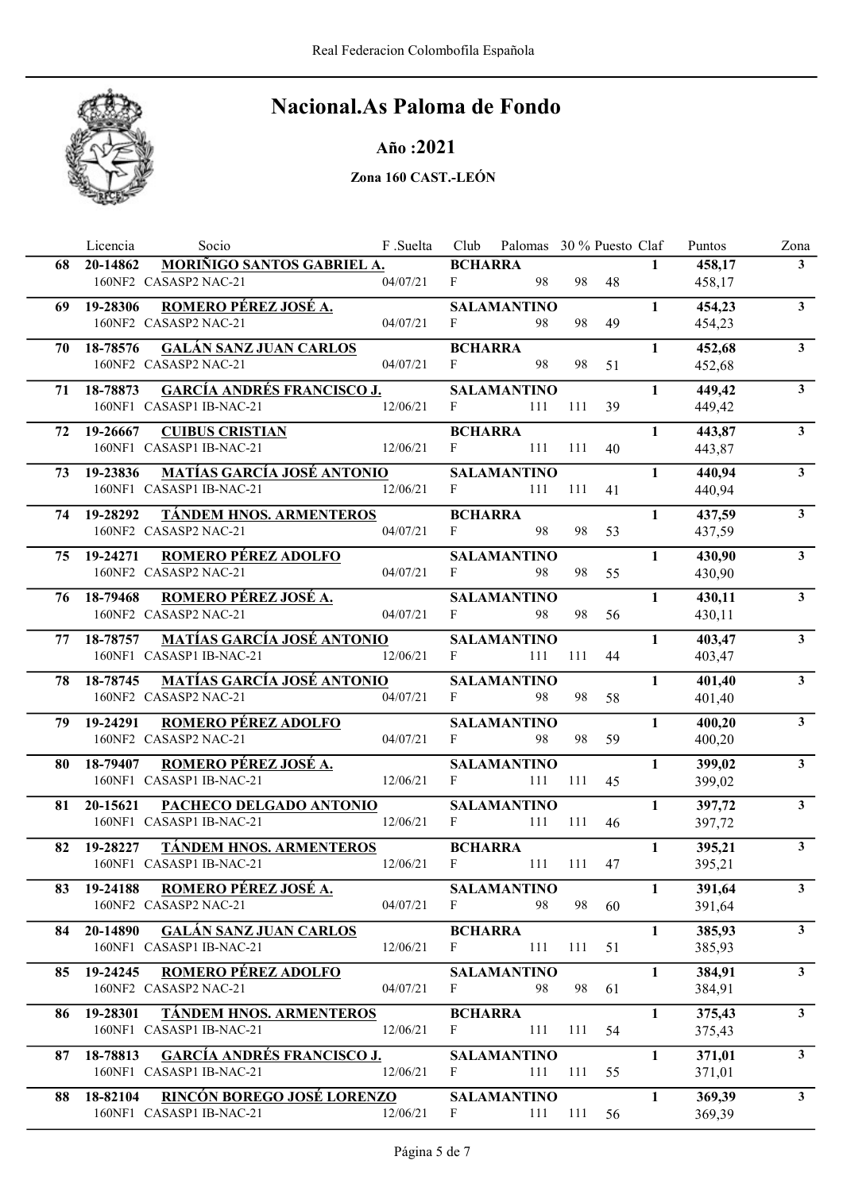

## Año :2021

|     | Socio<br>Licencia                                                         | F .Suelta |                | Club Palomas 30 % Puesto Claf |     |       |              | Puntos           | Zona                    |
|-----|---------------------------------------------------------------------------|-----------|----------------|-------------------------------|-----|-------|--------------|------------------|-------------------------|
| 68  | MORIÑIGO SANTOS GABRIEL A.<br>20-14862                                    |           | <b>BCHARRA</b> |                               |     |       | $\mathbf{1}$ | 458,17           | 3 <sup>1</sup>          |
|     | 160NF2 CASASP2 NAC-21                                                     | 04/07/21  | F              | 98                            | 98  | 48    |              | 458,17           |                         |
|     | ROMERO PÉREZ JOSÉ A.<br>69 19-28306                                       |           |                | <b>SALAMANTINO</b>            |     |       | $\mathbf{1}$ | 454,23           | 3 <sup>1</sup>          |
|     | 160NF2 CASASP2 NAC-21                                                     | 04/07/21  | F              | 98                            | 98  | 49    |              | 454,23           |                         |
| 70- | <b>GALÁN SANZ JUAN CARLOS</b><br>18-78576                                 |           | <b>BCHARRA</b> |                               |     |       | $\mathbf{1}$ | 452,68           | 3 <sup>1</sup>          |
|     | 160NF2 CASASP2 NAC-21                                                     | 04/07/21  | F              | 98                            | 98  | 51    |              | 452,68           |                         |
|     | <b>GARCÍA ANDRÉS FRANCISCO J.</b><br>71 18-78873                          |           |                | <b>SALAMANTINO</b>            |     |       | $\mathbf{1}$ | 449,42           | $\mathbf{3}$            |
|     | 160NF1 CASASP1 IB-NAC-21                                                  | 12/06/21  | $\mathbf{F}$   | 111                           | 111 | 39    |              | 449,42           |                         |
|     | 19-26667<br><b>CUIBUS CRISTIAN</b>                                        |           | <b>BCHARRA</b> |                               |     |       | $\mathbf{1}$ | 443,87           | $3^{\circ}$             |
| 72  | 160NF1 CASASP1 IB-NAC-21                                                  | 12/06/21  | F              | 111                           | 111 | 40    |              | 443,87           |                         |
|     |                                                                           |           |                |                               |     |       |              |                  |                         |
| 73  | MATÍAS GARCÍA JOSÉ ANTONIO<br>19-23836<br>160NF1 CASASP1 IB-NAC-21        |           | $F \sim 1$     | <b>SALAMANTINO</b><br>111     | 111 | 41    | $\mathbf{1}$ | 440,94<br>440,94 | 3 <sup>1</sup>          |
|     | 12/06/21                                                                  |           |                |                               |     |       |              |                  |                         |
|     | TÁNDEM HNOS. ARMENTEROS<br>74 19-28292                                    |           | <b>BCHARRA</b> |                               |     |       | $\mathbf{1}$ | 437,59           | $\mathbf{3}$            |
|     | 160NF2 CASASP2 NAC-21                                                     | 04/07/21  | F              | 98                            | 98  | 53    |              | 437,59           |                         |
|     | <b>ROMERO PÉREZ ADOLFO</b><br>75 19-24271                                 |           |                | <b>SALAMANTINO</b>            |     |       | $\mathbf{1}$ | 430,90           | $\overline{\mathbf{3}}$ |
|     | 160NF2 CASASP2 NAC-21                                                     | 04/07/21  | F              | 98                            | 98  | 55    |              | 430,90           |                         |
|     | 76 18-79468 ROMERO PÉREZ JOSÉ A.                                          |           |                | <b>SALAMANTINO</b>            |     |       | $\mathbf{1}$ | 430,11           | $\mathbf{3}$            |
|     | 160NF2 CASASP2 NAC-21                                                     | 04/07/21  | F              | 98                            | 98  | 56    |              | 430,11           |                         |
|     | <b>MATÍAS GARCÍA JOSÉ ANTONIO</b><br>77 18-78757                          |           |                | <b>SALAMANTINO</b>            |     |       | $\mathbf{1}$ | 403,47           | 3                       |
|     | 160NF1 CASASP1 IB-NAC-21                                                  | 12/06/21  | F              | 111                           | 111 | 44    |              | 403,47           |                         |
|     | 78 18-78745 MATÍAS GARCÍA JOSÉ ANTONIO                                    |           |                | <b>SALAMANTINO</b>            |     |       | $\mathbf{1}$ | 401,40           | 3 <sup>1</sup>          |
|     | 160NF2 CASASP2 NAC-21                                                     | 04/07/21  | F              | 98                            | 98  | 58    |              | 401,40           |                         |
|     | <b>ROMERO PÉREZ ADOLFO</b><br>79 19-24291                                 |           |                | <b>SALAMANTINO</b>            |     |       | $\mathbf{1}$ | 400,20           | 3 <sup>1</sup>          |
|     | 160NF2 CASASP2 NAC-21                                                     | 04/07/21  | F              | 98                            | 98  | 59    |              | 400,20           |                         |
|     |                                                                           |           |                |                               |     |       |              |                  | 3 <sup>1</sup>          |
|     | ROMERO PÉREZ JOSÉ A.<br>80 18-79407<br>160NF1 CASASP1 IB-NAC-21           | 12/06/21  | F              | <b>SALAMANTINO</b><br>111     | 111 | 45    | $\mathbf{1}$ | 399,02<br>399,02 |                         |
|     |                                                                           |           |                |                               |     |       |              |                  |                         |
| 81  | 20-15621<br>PACHECO DELGADO ANTONIO<br>160NF1 CASASP1 IB-NAC-21           |           | F              | <b>SALAMANTINO</b>            |     |       | $\mathbf{1}$ | 397,72           | $\mathbf{3}$            |
|     |                                                                           | 12/06/21  |                | 111                           | 111 | 46    |              | 397,72           |                         |
| 82  | 19-28227<br><b>TÁNDEM HNOS. ARMENTEROS</b>                                |           | <b>BCHARRA</b> |                               |     |       | $\mathbf{1}$ | 395,21           | $\mathbf{3}$            |
|     | 160NF1 CASASP1 IB-NAC-21                                                  | 12/06/21  | F              | 111                           | 111 | 47    |              | 395,21           |                         |
|     | 83 19-24188 ROMERO PÉREZ JOSÉ A.                                          |           |                | <b>SALAMANTINO</b>            |     |       | $\mathbf{1}$ | 391,64           | $\mathbf{3}$            |
|     | 160NF2 CASASP2 NAC-21                                                     | 04/07/21  | F              | 98                            |     | 98 60 |              | 391,64           |                         |
| 84  | 20-14890 GALÁN SANZ JUAN CARLOS                                           |           | <b>BCHARRA</b> |                               |     |       | $\mathbf{1}$ | 385,93           | 3 <sup>1</sup>          |
|     | 160NF1 CASASP1 IB-NAC-21                                                  | 12/06/21  | F              | 111                           | 111 | 51    |              | 385,93           |                         |
| 85. | <b>ROMERO PÉREZ ADOLFO</b><br>19-24245                                    |           |                | <b>SALAMANTINO</b>            |     |       | $\mathbf{1}$ | 384,91           | 3 <sup>1</sup>          |
|     | 160NF2 CASASP2 NAC-21                                                     | 04/07/21  | F              | 98                            | 98  | 61    |              | 384,91           |                         |
| 86. | <b>TÁNDEM HNOS. ARMENTEROS</b><br>19-28301                                |           | <b>BCHARRA</b> |                               |     |       | $\mathbf{1}$ | 375,43           | 3 <sup>1</sup>          |
|     | 160NF1 CASASP1 IB-NAC-21                                                  | 12/06/21  | F              | 111                           | 111 | 54    |              | 375,43           |                         |
| 87  | <b>GARCÍA ANDRÉS FRANCISCO J.</b><br>18-78813                             |           |                | <b>SALAMANTINO</b>            |     |       | $\mathbf{1}$ | 371,01           | $\mathbf{3}$            |
|     | 160NF1 CASASP1 IB-NAC-21                                                  | 12/06/21  | F              | 111                           | 111 | 55    |              | 371,01           |                         |
|     |                                                                           |           |                |                               |     |       |              |                  |                         |
| 88. | <b>RINCÓN BOREGO JOSÉ LORENZO</b><br>18-82104<br>160NF1 CASASP1 IB-NAC-21 | 12/06/21  | F              | <b>SALAMANTINO</b><br>111     | 111 | 56    | $\mathbf{1}$ | 369,39<br>369,39 | $\mathbf{3}$            |
|     |                                                                           |           |                |                               |     |       |              |                  |                         |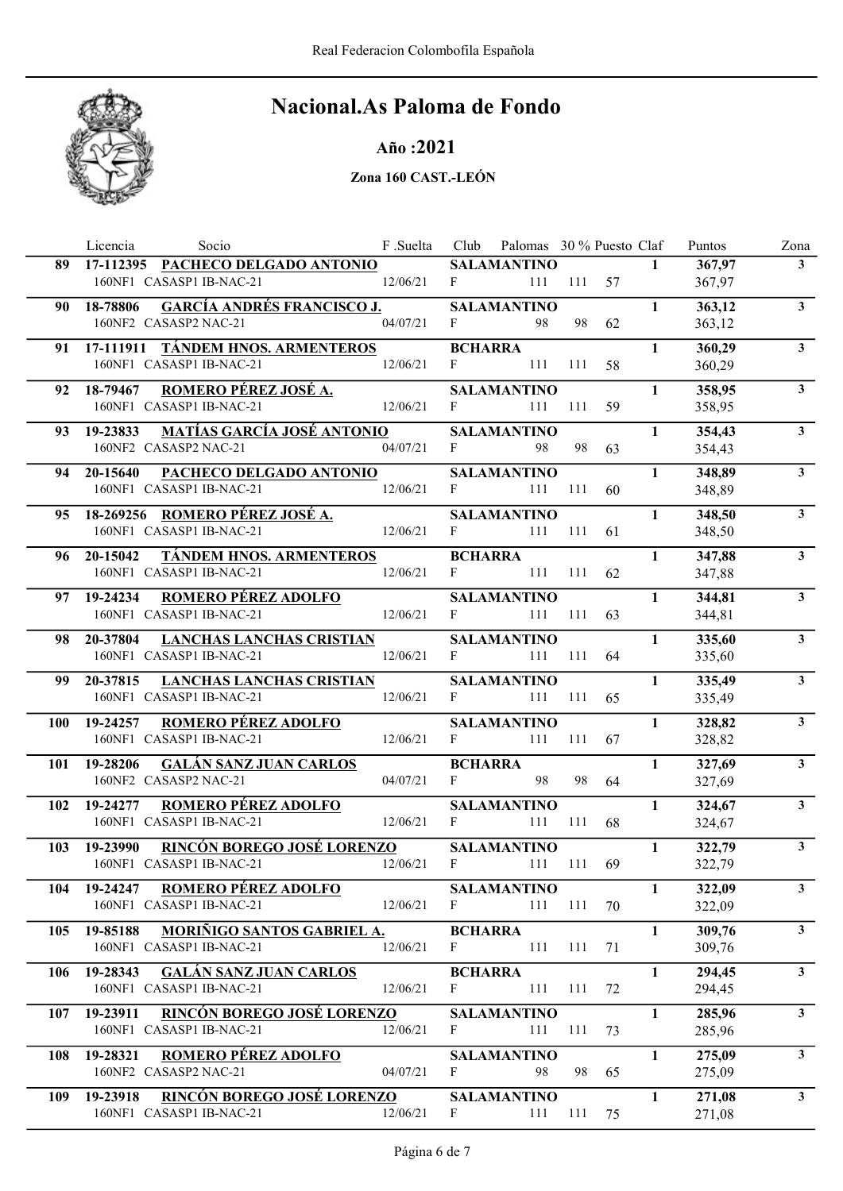

### Año :2021

|      | Licencia<br>Socio                                                  | F .Suelta |                | Club Palomas 30 % Puesto Claf |                          |       |              | Puntos           | Zona                    |
|------|--------------------------------------------------------------------|-----------|----------------|-------------------------------|--------------------------|-------|--------------|------------------|-------------------------|
|      | 89 17-112395 PACHECO DELGADO ANTONIO                               |           |                | <b>SALAMANTINO</b>            |                          |       | $\mathbf{1}$ | 367,97           | 3 <sup>1</sup>          |
|      | 160NF1 CASASP1 IB-NAC-21                                           | 12/06/21  | F              |                               | 111 111 57               |       |              | 367,97           |                         |
| 90 - | <b>GARCÍA ANDRÉS FRANCISCO J.</b><br>18-78806                      |           |                | <b>SALAMANTINO</b>            |                          |       | $\mathbf{1}$ | 363,12           | 3 <sup>1</sup>          |
|      | 160NF2 CASASP2 NAC-21                                              | 04/07/21  | F              | 98                            | 98                       | 62    |              | 363,12           |                         |
| 91.  | 17-111911 TÁNDEM HNOS. ARMENTEROS                                  |           | <b>BCHARRA</b> |                               |                          |       | $\mathbf{1}$ | 360,29           | 3 <sup>1</sup>          |
|      | 160NF1 CASASP1 IB-NAC-21                                           | 12/06/21  | F              | 111                           | 111                      | 58    |              | 360,29           |                         |
|      | ROMERO PÉREZ JOSÉ A.<br>92 18-79467                                |           |                | <b>SALAMANTINO</b>            |                          |       | $\mathbf{1}$ | 358,95           | 3 <sup>1</sup>          |
|      | 12/06/21<br>160NF1 CASASP1 IB-NAC-21                               |           | F              | 111                           | 111                      | 59    |              | 358,95           |                         |
| 93   | <u>MATÍAS GARCÍA JOSÉ ANTONIO</u><br>19-23833                      |           |                | <b>SALAMANTINO</b>            |                          |       | $\mathbf{1}$ | 354,43           | $\mathbf{3}$            |
|      | 160NF2 CASASP2 NAC-21                                              | 04/07/21  | F              | 98                            | 98                       | 63    |              | 354,43           |                         |
|      |                                                                    |           |                |                               |                          |       | $\mathbf{1}$ |                  | 3 <sup>1</sup>          |
| 94   | PACHECO DELGADO ANTONIO<br>20-15640<br>160NF1 CASASP1 IB-NAC-21    | 12/06/21  | $F$ and $F$    | <b>SALAMANTINO</b><br>111 111 |                          | 60    |              | 348,89<br>348,89 |                         |
|      |                                                                    |           |                |                               |                          |       |              |                  |                         |
| 95.  | 18-269256 ROMERO PÉREZ JOSÉ A.                                     |           |                | <b>SALAMANTINO</b>            |                          |       | $\mathbf{1}$ | 348,50           | $\mathbf{3}$            |
|      | 160NF1 CASASP1 IB-NAC-21                                           | 12/06/21  | $F \sim$       | 111                           | 111                      | 61    |              | 348,50           |                         |
|      | <b>TÁNDEM HNOS. ARMENTEROS</b><br>96 20-15042                      |           | <b>BCHARRA</b> |                               |                          |       | $\mathbf{1}$ | 347,88           | $\overline{\mathbf{3}}$ |
|      | 160NF1 CASASP1 IB-NAC-21                                           | 12/06/21  | $F \sim$       | 111                           | 111                      | 62    |              | 347,88           |                         |
|      | <b>ROMERO PÉREZ ADOLFO</b><br>97 19-24234                          |           |                | <b>SALAMANTINO</b>            |                          |       | $\mathbf{1}$ | 344,81           | $\mathbf{3}$            |
|      | 160NF1 CASASP1 IB-NAC-21                                           | 12/06/21  | F              | 111                           | 111                      | 63    |              | 344,81           |                         |
| 98   | <b>LANCHAS LANCHAS CRISTIAN</b><br>20-37804                        |           |                | <b>SALAMANTINO</b>            |                          |       | $\mathbf{1}$ | 335,60           | 3                       |
|      | 160NF1 CASASP1 IB-NAC-21                                           | 12/06/21  | F              | 111                           | 111                      | 64    |              | 335,60           |                         |
| 99.  | 20-37815 LANCHAS LANCHAS CRISTIAN                                  |           |                | <b>SALAMANTINO</b>            |                          |       | $\mathbf{1}$ | 335,49           | 3 <sup>1</sup>          |
|      | 160NF1 CASASP1 IB-NAC-21                                           | 12/06/21  | $F \sim 1$     | 111                           | 111                      | 65    |              | 335,49           |                         |
|      | <b>ROMERO PÉREZ ADOLFO</b><br>100 19-24257                         |           |                | <b>SALAMANTINO</b>            |                          |       | $\mathbf{1}$ | 328,82           | 3 <sup>1</sup>          |
|      | 160NF1 CASASP1 IB-NAC-21                                           | 12/06/21  | F              | 111                           | 111                      | 67    |              | 328,82           |                         |
| 101  | 19-28206<br><b>GALÁN SANZ JUAN CARLOS</b>                          |           | <b>BCHARRA</b> |                               |                          |       | $\mathbf{1}$ | 327,69           | 3 <sup>1</sup>          |
|      | 160NF2 CASASP2 NAC-21                                              | 04/07/21  | F              | 98                            | 98                       | 64    |              | 327,69           |                         |
|      |                                                                    |           |                |                               |                          |       |              |                  | $\mathbf{3}$            |
| 102  | 19-24277<br><b>ROMERO PÉREZ ADOLFO</b><br>160NF1 CASASP1 IB-NAC-21 | 12/06/21  | F              | <b>SALAMANTINO</b><br>111     | 111                      | 68    | $\mathbf{1}$ | 324,67<br>324,67 |                         |
|      |                                                                    |           |                |                               |                          |       |              |                  |                         |
| 103  | RINCÓN BOREGO JOSÉ LORENZO<br>19-23990<br>160NF1 CASASP1 IB-NAC-21 | 12/06/21  | F              | <b>SALAMANTINO</b><br>111     | 111                      |       | $\mathbf{1}$ | 322,79           | $\overline{\mathbf{3}}$ |
|      |                                                                    |           |                |                               |                          | 69    |              | 322,79           |                         |
|      | 104 19-24247 ROMERO PÉREZ ADOLFO                                   |           |                | SALAMANTINO                   |                          |       | $\mathbf{1}$ | 322,09           | $3^{\circ}$             |
|      | 160NF1 CASASP1 IB-NAC-21                                           | 12/06/21  | F              |                               | $111 \quad 111 \quad 70$ |       |              | 322,09           |                         |
| 105  | 19-85188 MORIÑIGO SANTOS GABRIEL A.                                |           | <b>BCHARRA</b> |                               |                          |       | $\mathbf{1}$ | 309,76           | $\mathbf{3}$            |
|      | 160NF1 CASASP1 IB-NAC-21                                           | 12/06/21  | F              | 111                           | 111                      | 71    |              | 309,76           |                         |
|      | <b>GALÁN SANZ JUAN CARLOS</b><br>106 19-28343                      |           | <b>BCHARRA</b> |                               |                          |       | $\mathbf{1}$ | 294,45           | $\mathbf{3}$            |
|      | 160NF1 CASASP1 IB-NAC-21                                           | 12/06/21  | F              | 111                           | 111                      | 72    |              | 294,45           |                         |
| 107  | <u>RINCÓN BOREGO JOSÉ LORENZO</u><br>19-23911                      |           |                | <b>SALAMANTINO</b>            |                          |       | $\mathbf{1}$ | 285,96           | $\mathbf{3}$            |
|      | 160NF1 CASASP1 IB-NAC-21                                           | 12/06/21  | F              | 111                           | 111                      | 73    |              | 285,96           |                         |
| 108  | 19-28321<br><b>ROMERO PÉREZ ADOLFO</b>                             |           |                | <b>SALAMANTINO</b>            |                          |       | $\mathbf{1}$ | 275,09           | $\mathbf{3}$            |
|      | 160NF2 CASASP2 NAC-21                                              | 04/07/21  | F              | 98                            |                          | 98 65 |              | 275,09           |                         |
| 109  | 19-23918 RINCÓN BOREGO JOSÉ LORENZO                                |           |                | <b>SALAMANTINO</b>            |                          |       | $\mathbf{1}$ | 271,08           | $\mathbf{3}$            |
|      | 160NF1 CASASP1 IB-NAC-21                                           | 12/06/21  | F              | 111                           | 111 75                   |       |              | 271,08           |                         |
|      |                                                                    |           |                |                               |                          |       |              |                  |                         |